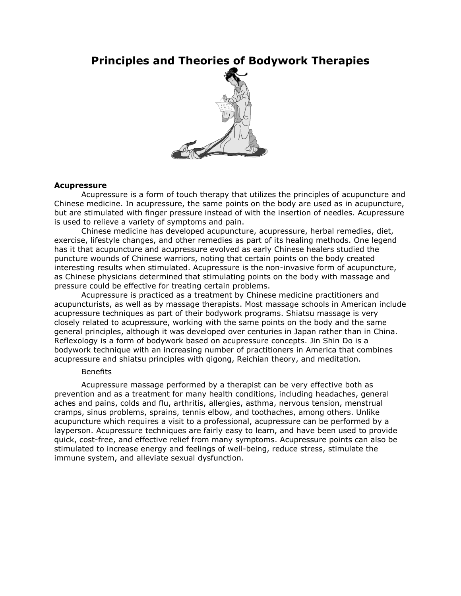# **Principles and Theories of Bodywork Therapies**



### **Acupressure**

Acupressure is a form of touch therapy that utilizes the principles of [acupuncture](/g2603/0000/2603000002/p1/article.jhtml) and Chinese medicine. In acupressure, the same points on the body are used as in acupuncture, but are stimulated with finger pressure instead of with the insertion of needles. Acupressure is used to relieve a variety of symptoms and pain.

Chinese medicine has developed acupuncture, acupressure, herbal remedies, diet, [exercise,](/g2603/0003/2603000352/p1/article.jhtml) lifestyle changes, and other remedies as part of its healing methods. One legend has it that acupuncture and acupressure evolved as early Chinese healers studied the puncture [wounds](/g2603/0001/2603000138/p1/article.jhtml) of Chinese warriors, noting that certain points on the body created interesting results when stimulated. Acupressure is the non-invasive form of acupuncture, as Chinese physicians determined that stimulating points on the body with massage and pressure could be effective for treating certain problems.

Acupressure is practiced as a treatment by Chinese medicine practitioners and acupuncturists, as well as by massage therapists. Most massage schools in American include acupressure techniques as part of their bodywork programs. Shiatsu massage is very closely related to acupressure, working with the same points on the body and the same general principles, although it was developed over centuries in Japan rather than in China. [Reflexology](/g2603/0006/2603000621/p1/article.jhtml) is a form of bodywork based on acupressure concepts. Jin Shin Do is a bodywork technique with an increasing number of practitioners in America that combines acupressure and shiatsu principles with [qigong,](/g2603/0006/2603000613/p1/article.jhtml) Reichian theory, and [meditation.](/g2603/0005/2603000513/p1/article.jhtml)

### **Benefits**

Acupressure massage performed by a therapist can be very effective both as prevention and as a treatment for many health conditions, including headaches, general aches and pains, colds and flu, arthritis, [allergies,](/g2603/0000/2603000007/p1/article.jhtml) [asthma,](/g2603/0001/2603000175/p1/article.jhtml) nervous tension, menstrual cramps, sinus problems, sprains, [tennis elbow,](/g2603/0001/2603000123/p1/article.jhtml) and toothaches, among others. Unlike acupuncture which requires a visit to a professional, acupressure can be performed by a layperson. Acupressure techniques are fairly easy to learn, and have been used to provide quick, cost-free, and effective relief from many symptoms. Acupressure points can also be stimulated to increase energy and feelings of well-being, reduce [stress,](/g2603/0006/2603000686/p1/article.jhtml) stimulate the immune system, and alleviate [sexual dysfunction.](/g2603/0006/2603000656/p1/article.jhtml)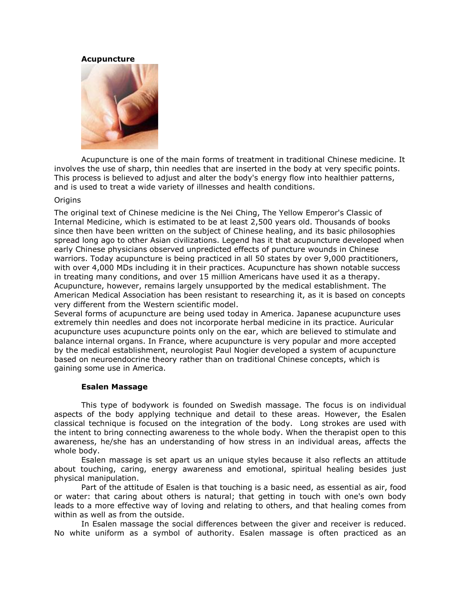# **Acupuncture**



Acupuncture is one of the main forms of treatment in traditional Chinese medicine. It involves the use of sharp, thin needles that are inserted in the body at very specific points. This process is believed to adjust and alter the body's energy flow into healthier patterns, and is used to treat a wide variety of illnesses and health conditions.

#### **Origins**

The original text of Chinese medicine is the Nei Ching, The Yellow Emperor's Classic of Internal Medicine, which is estimated to be at least 2,500 years old. Thousands of books since then have been written on the subject of Chinese healing, and its basic philosophies spread long ago to other Asian civilizations. Legend has it that acupuncture developed when early Chinese physicians observed unpredicted effects of puncture [wounds](/g2603/0001/2603000138/p1/article.jhtml) in Chinese warriors. Today acupuncture is being practiced in all 50 states by over 9,000 practitioners, with over 4,000 MDs including it in their practices. Acupuncture has shown notable success in treating many conditions, and over 15 million Americans have used it as a therapy. Acupuncture, however, remains largely unsupported by the medical establishment. The American Medical Association has been resistant to researching it, as it is based on concepts very different from the Western scientific model.

Several forms of acupuncture are being used today in America. Japanese acupuncture uses extremely thin needles and does not incorporate herbal medicine in its practice. Auricular acupuncture uses acupuncture points only on the ear, which are believed to stimulate and balance internal organs. In France, where acupuncture is very popular and more accepted by the medical establishment, neurologist Paul Nogier developed a system of acupuncture based on neuroendocrine theory rather than on traditional Chinese concepts, which is gaining some use in America.

### **Esalen Massage**

This type of bodywork is founded on Swedish massage. The focus is on individual aspects of the body applying technique and detail to these areas. However, the Esalen classical technique is focused on the integration of the body. Long strokes are used with the intent to bring connecting awareness to the whole body. When the therapist open to this awareness, he/she has an understanding of how stress in an individual areas, affects the whole body.

Esalen massage is set apart us an unique styles because it also reflects an attitude about touching, caring, energy awareness and emotional, spiritual healing besides just physical manipulation.

Part of the attitude of Esalen is that touching is a basic need, as essential as air, food or water: that caring about others is natural; that getting in touch with one's own body leads to a more effective way of loving and relating to others, and that healing comes from within as well as from the outside.

In Esalen massage the social differences between the giver and receiver is reduced. No white uniform as a symbol of authority. Esalen massage is often practiced as an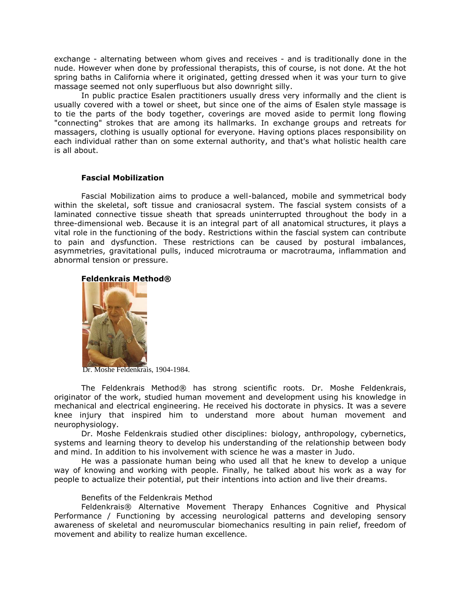exchange - alternating between whom gives and receives - and is traditionally done in the nude. However when done by professional therapists, this of course, is not done. At the hot spring baths in California where it originated, getting dressed when it was your turn to give massage seemed not only superfluous but also downright silly.

In public practice Esalen practitioners usually dress very informally and the client is usually covered with a towel or sheet, but since one of the aims of Esalen style massage is to tie the parts of the body together, coverings are moved aside to permit long flowing "connecting" strokes that are among its hallmarks. In exchange groups and retreats for massagers, clothing is usually optional for everyone. Having options places responsibility on each individual rather than on some external authority, and that's what holistic health care is all about.

# **Fascial Mobilization**

Fascial Mobilization aims to produce a well-balanced, mobile and symmetrical body within the skeletal, soft tissue and craniosacral system. The fascial system consists of a laminated connective tissue sheath that spreads uninterrupted throughout the body in a three-dimensional web. Because it is an integral part of all anatomical structures, it plays a vital role in the functioning of the body. Restrictions within the fascial system can contribute to pain and dysfunction. These restrictions can be caused by postural imbalances, asymmetries, gravitational pulls, induced microtrauma or macrotrauma, inflammation and abnormal tension or pressure.

# **Feldenkrais Method®**



Dr. Moshe Feldenkrais, 1904-1984.

The Feldenkrais Method® has strong scientific roots. Dr. Moshe Feldenkrais, originator of the work, studied human movement and development using his knowledge in mechanical and electrical engineering. He received his doctorate in physics. It was a severe knee injury that inspired him to understand more about human movement and neurophysiology.

Dr. Moshe Feldenkrais studied other disciplines: biology, anthropology, cybernetics, systems and learning theory to develop his understanding of the relationship between body and mind. In addition to his involvement with science he was a master in Judo.

He was a passionate human being who used all that he knew to develop a unique way of knowing and working with people. Finally, he talked about his work as a way for people to actualize their potential, put their intentions into action and live their dreams.

# Benefits of the Feldenkrais Method

Feldenkrais® Alternative Movement Therapy Enhances Cognitive and Physical Performance / Functioning by accessing neurological patterns and developing sensory awareness of skeletal and neuromuscular biomechanics resulting in pain relief, freedom of movement and ability to realize human excellence.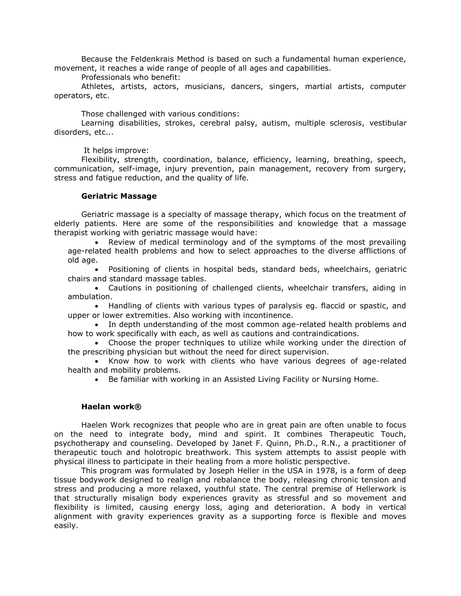Because the Feldenkrais Method is based on such a fundamental human experience, movement, it reaches a wide range of people of all ages and capabilities.

Professionals who benefit:

Athletes, artists, actors, musicians, dancers, singers, martial artists, computer operators, etc.

Those challenged with various conditions:

Learning disabilities, strokes, cerebral palsy, autism, multiple sclerosis, vestibular disorders, etc...

It helps improve:

Flexibility, strength, coordination, balance, efficiency, learning, breathing, speech, communication, self-image, injury prevention, pain management, recovery from surgery, stress and fatigue reduction, and the quality of life.

# **Geriatric Massage**

Geriatric massage is a specialty of massage therapy, which focus on the treatment of elderly patients. Here are some of the responsibilities and knowledge that a massage therapist working with geriatric massage would have:

 Review of medical terminology and of the symptoms of the most prevailing age-related health problems and how to select approaches to the diverse afflictions of old age.

 Positioning of clients in hospital beds, standard beds, wheelchairs, geriatric chairs and standard massage tables.

 Cautions in positioning of challenged clients, wheelchair transfers, aiding in ambulation.

 Handling of clients with various types of paralysis eg. flaccid or spastic, and upper or lower extremities. Also working with incontinence.

 In depth understanding of the most common age-related health problems and how to work specifically with each, as well as cautions and contraindications.

 Choose the proper techniques to utilize while working under the direction of the prescribing physician but without the need for direct supervision.

 Know how to work with clients who have various degrees of age-related health and mobility problems.

Be familiar with working in an Assisted Living Facility or Nursing Home.

# **Haelan work®**

Haelen Work recognizes that people who are in great pain are often unable to focus on the need to integrate body, mind and spirit. It combines Therapeutic Touch, psychotherapy and counseling. Developed by Janet F. Quinn, Ph.D., R.N., a practitioner of therapeutic touch and holotropic breathwork. This system attempts to assist people with physical illness to participate in their healing from a more holistic perspective.

This program was formulated by Joseph Heller in the USA in 1978, is a form of deep tissue bodywork designed to realign and rebalance the body, releasing chronic tension and stress and producing a more relaxed, youthful state. The central premise of Hellerwork is that structurally misalign body experiences gravity as stressful and so movement and flexibility is limited, causing energy loss, aging and deterioration. A body in vertical alignment with gravity experiences gravity as a supporting force is flexible and moves easily.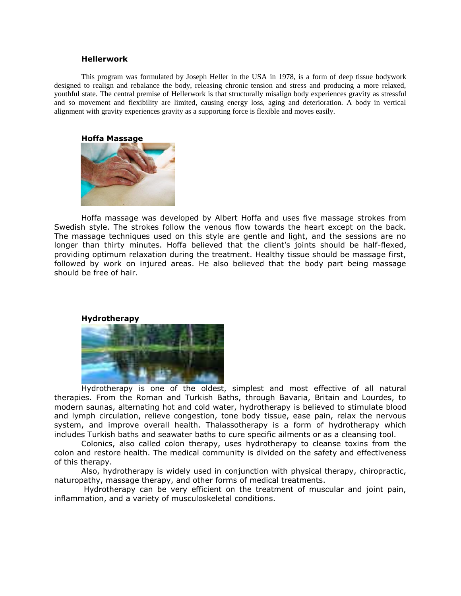### **Hellerwork**

This program was formulated by Joseph Heller in the USA in 1978, is a form of deep tissue bodywork designed to realign and rebalance the body, releasing chronic tension and stress and producing a more relaxed, youthful state. The central premise of Hellerwork is that structurally misalign body experiences gravity as stressful and so movement and flexibility are limited, causing energy loss, aging and deterioration. A body in vertical alignment with gravity experiences gravity as a supporting force is flexible and moves easily.



Hoffa massage was developed by Albert Hoffa and uses five massage strokes from Swedish style. The strokes follow the venous flow towards the heart except on the back. The massage techniques used on this style are gentle and light, and the sessions are no longer than thirty minutes. Hoffa believed that the client's joints should be half-flexed, providing optimum relaxation during the treatment. Healthy tissue should be massage first, followed by work on injured areas. He also believed that the body part being massage should be free of hair.

#### **Hydrotherapy**



Hydrotherapy is one of the oldest, simplest and most effective of all natural therapies. From the Roman and Turkish Baths, through Bavaria, Britain and Lourdes, to modern saunas, alternating hot and cold water, hydrotherapy is believed to stimulate blood and lymph circulation, relieve congestion, tone body tissue, ease pain, relax the nervous system, and improve overall health. Thalassotherapy is a form of hydrotherapy which includes Turkish baths and seawater baths to cure specific ailments or as a cleansing tool.

Colonics, also called colon therapy, uses hydrotherapy to cleanse toxins from the colon and restore health. The medical community is divided on the safety and effectiveness of this therapy.

Also, hydrotherapy is widely used in conjunction with physical therapy, chiropractic, naturopathy, massage therapy, and other forms of medical treatments.

Hydrotherapy can be very efficient on the treatment of muscular and joint pain, inflammation, and a variety of musculoskeletal conditions.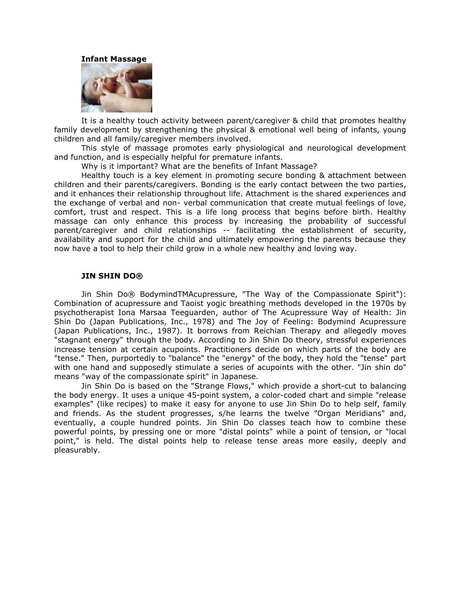#### **Infant Massage**



It is a healthy touch activity between parent/caregiver & child that promotes healthy family development by strengthening the physical & emotional well being of infants, young children and all family/caregiver members involved.

This style of massage promotes early physiological and neurological development and function, and is especially helpful for premature infants.

Why is it important? What are the benefits of Infant Massage?

Healthy touch is a key element in promoting secure bonding & attachment between children and their parents/caregivers. Bonding is the early contact between the two parties, and it enhances their relationship throughout life. Attachment is the shared experiences and the exchange of verbal and non- verbal communication that create mutual feelings of love, comfort, trust and respect. This is a life long process that begins before birth. Healthy massage can only enhance this process by increasing the probability of successful parent/caregiver and child relationships -- facilitating the establishment of security, availability and support for the child and ultimately empowering the parents because they now have a tool to help their child grow in a whole new healthy and loving way.

#### **JIN SHIN DO®**

Jin Shin Do® BodymindTMAcupressure, "The Way of the Compassionate Spirit"): Combination of acupressure and Taoist yogic breathing methods developed in the 1970s by psychotherapist Iona Marsaa Teeguarden, author of The Acupressure Way of Health: Jin Shin Do (Japan Publications, Inc., 1978) and The Joy of Feeling: Bodymind Acupressure (Japan Publications, Inc., 1987). It borrows from Reichian Therapy and allegedly moves "stagnant energy" through the body. According to Jin Shin Do theory, stressful experiences increase tension at certain acupoints. Practitioners decide on which parts of the body are "tense." Then, purportedly to "balance" the "energy" of the body, they hold the "tense" part with one hand and supposedly stimulate a series of acupoints with the other. "Jin shin do" means "way of the compassionate spirit" in Japanese.

Jin Shin Do is based on the "Strange Flows," which provide a short-cut to balancing the body energy. It uses a unique 45-point system, a color-coded chart and simple "release examples" (like recipes) to make it easy for anyone to use Jin Shin Do to help self, family and friends. As the student progresses, s/he learns the twelve "Organ Meridians" and, eventually, a couple hundred points. Jin Shin Do classes teach how to combine these powerful points, by pressing one or more "distal points" while a point of tension, or "local point," is held. The distal points help to release tense areas more easily, deeply and pleasurably.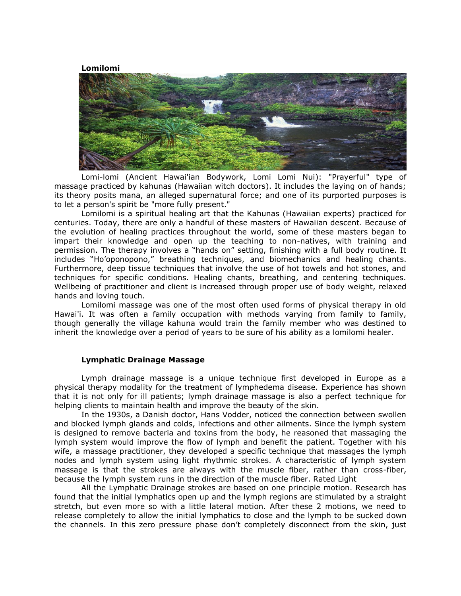

Lomi-lomi (Ancient Hawai'ian Bodywork, Lomi Lomi Nui): "Prayerful" type of massage practiced by kahunas (Hawaiian witch doctors). It includes the laying on of hands; its theory posits mana, an alleged supernatural force; and one of its purported purposes is to let a person's spirit be "more fully present."

Lomilomi is a spiritual healing art that the Kahunas (Hawaiian experts) practiced for centuries. Today, there are only a handful of these masters of Hawaiian descent. Because of the evolution of healing practices throughout the world, some of these masters began to impart their knowledge and open up the teaching to non-natives, with training and permission. The therapy involves a "hands on" setting, finishing with a full body routine. It includes "Ho'oponopono," breathing techniques, and biomechanics and healing chants. Furthermore, deep tissue techniques that involve the use of hot towels and hot stones, and techniques for specific conditions. Healing chants, breathing, and centering techniques. Wellbeing of practitioner and client is increased through proper use of body weight, relaxed hands and loving touch.

Lomilomi massage was one of the most often used forms of physical therapy in old Hawai'i. It was often a family occupation with methods varying from family to family, though generally the village kahuna would train the family member who was destined to inherit the knowledge over a period of years to be sure of his ability as a lomilomi healer.

# **Lymphatic Drainage Massage**

Lymph drainage massage is a unique technique first developed in Europe as a physical therapy modality for the treatment of lymphedema disease. Experience has shown that it is not only for ill patients; lymph drainage massage is also a perfect technique for helping clients to maintain health and improve the beauty of the skin.

In the 1930s, a Danish doctor, Hans Vodder, noticed the connection between swollen and blocked lymph glands and colds, infections and other ailments. Since the lymph system is designed to remove bacteria and toxins from the body, he reasoned that massaging the lymph system would improve the flow of lymph and benefit the patient. Together with his wife, a massage practitioner, they developed a specific technique that massages the lymph nodes and lymph system using light rhythmic strokes. A characteristic of lymph system massage is that the strokes are always with the muscle fiber, rather than cross-fiber, because the lymph system runs in the direction of the muscle fiber. Rated Light

All the Lymphatic Drainage strokes are based on one principle motion. Research has found that the initial lymphatics open up and the lymph regions are stimulated by a straight stretch, but even more so with a little lateral motion. After these 2 motions, we need to release completely to allow the initial lymphatics to close and the lymph to be sucked down the channels. In this zero pressure phase don't completely disconnect from the skin, just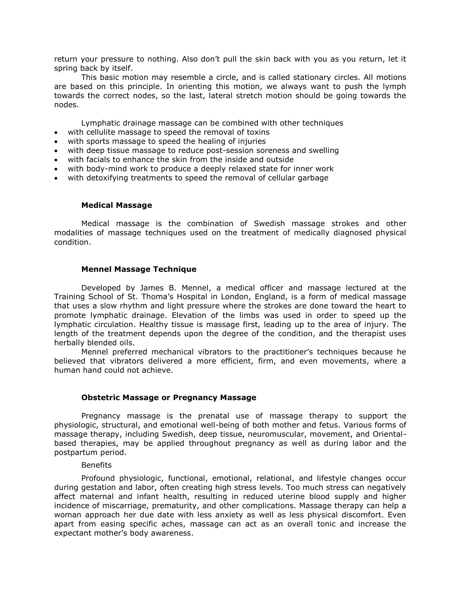return your pressure to nothing. Also don't pull the skin back with you as you return, let it spring back by itself.

This basic motion may resemble a circle, and is called stationary circles. All motions are based on this principle. In orienting this motion, we always want to push the lymph towards the correct nodes, so the last, lateral stretch motion should be going towards the nodes.

Lymphatic drainage massage can be combined with other techniques

- with cellulite massage to speed the removal of toxins
- with sports massage to speed the healing of injuries
- with deep tissue massage to reduce post-session soreness and swelling
- with facials to enhance the skin from the inside and outside
- with body-mind work to produce a deeply relaxed state for inner work
- with detoxifying treatments to speed the removal of cellular garbage

# **Medical Massage**

Medical massage is the combination of Swedish massage strokes and other modalities of massage techniques used on the treatment of medically diagnosed physical condition.

# **Mennel Massage Technique**

Developed by James B. Mennel, a medical officer and massage lectured at the Training School of St. Thoma's Hospital in London, England, is a form of medical massage that uses a slow rhythm and light pressure where the strokes are done toward the heart to promote lymphatic drainage. Elevation of the limbs was used in order to speed up the lymphatic circulation. Healthy tissue is massage first, leading up to the area of injury. The length of the treatment depends upon the degree of the condition, and the therapist uses herbally blended oils.

Mennel preferred mechanical vibrators to the practitioner's techniques because he believed that vibrators delivered a more efficient, firm, and even movements, where a human hand could not achieve.

### **Obstetric Massage or Pregnancy Massage**

Pregnancy massage is the prenatal use of [massage therapy](/g2603/0005/2603000511/p1/article.jhtml) to support the physiologic, structural, and emotional well-being of both mother and fetus. Various forms of massage therapy, including Swedish, deep tissue, neuromuscular, movement, and Orientalbased therapies, may be applied throughout pregnancy as well as during labor and the postpartum period.

Benefits

Profound physiologic, functional, emotional, relational, and lifestyle changes occur during gestation and labor, often creating high stress levels. Too much stress can negatively affect maternal and infant health, resulting in reduced uterine blood supply and higher incidence of miscarriage, prematurity, and other complications. Massage therapy can help a woman approach her due date with less anxiety as well as less physical discomfort. Even apart from easing specific aches, massage can act as an overall tonic and increase the expectant mother's body awareness.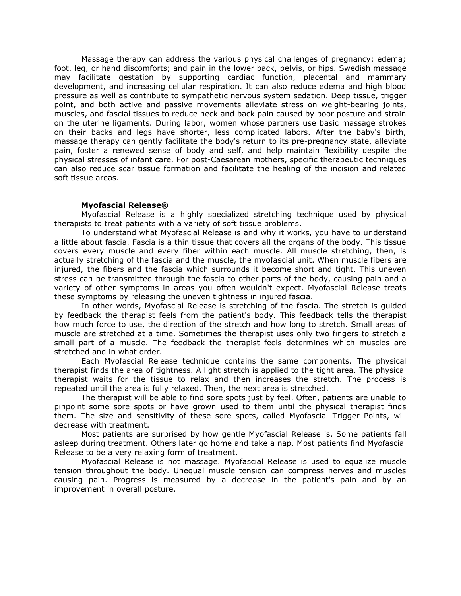Massage therapy can address the various physical challenges of pregnancy: edema; foot, leg, or hand discomforts; and pain in the lower back, pelvis, or hips. Swedish massage may facilitate gestation by supporting cardiac function, placental and mammary development, and increasing cellular respiration. It can also reduce edema and high blood pressure as well as contribute to sympathetic nervous system sedation. Deep tissue, trigger point, and both active and passive movements alleviate stress on weight-bearing joints, muscles, and fascial tissues to reduce neck and back pain caused by poor posture and strain on the uterine ligaments. During labor, women whose partners use basic massage strokes on their backs and legs have shorter, less complicated labors. After the baby's birth, massage therapy can gently facilitate the body's return to its pre-pregnancy state, alleviate pain, foster a renewed sense of body and self, and help maintain flexibility despite the physical stresses of infant care. For post-Caesarean mothers, specific therapeutic techniques can also reduce scar tissue formation and facilitate the healing of the incision and related soft tissue areas.

# **Myofascial Release®**

Myofascial Release is a highly specialized stretching technique used by physical therapists to treat patients with a variety of soft tissue problems.

To understand what Myofascial Release is and why it works, you have to understand a little about fascia. Fascia is a thin tissue that covers all the organs of the body. This tissue covers every muscle and every fiber within each muscle. All muscle stretching, then, is actually stretching of the fascia and the muscle, the myofascial unit. When muscle fibers are injured, the fibers and the fascia which surrounds it become short and tight. This uneven stress can be transmitted through the fascia to other parts of the body, causing pain and a variety of other symptoms in areas you often wouldn't expect. Myofascial Release treats these symptoms by releasing the uneven tightness in injured fascia.

In other words, Myofascial Release is stretching of the fascia. The stretch is guided by feedback the therapist feels from the patient's body. This feedback tells the therapist how much force to use, the direction of the stretch and how long to stretch. Small areas of muscle are stretched at a time. Sometimes the therapist uses only two fingers to stretch a small part of a muscle. The feedback the therapist feels determines which muscles are stretched and in what order.

Each Myofascial Release technique contains the same components. The physical therapist finds the area of tightness. A light stretch is applied to the tight area. The physical therapist waits for the tissue to relax and then increases the stretch. The process is repeated until the area is fully relaxed. Then, the next area is stretched.

The therapist will be able to find sore spots just by feel. Often, patients are unable to pinpoint some sore spots or have grown used to them until the physical therapist finds them. The size and sensitivity of these sore spots, called Myofascial Trigger Points, will decrease with treatment.

Most patients are surprised by how gentle Myofascial Release is. Some patients fall asleep during treatment. Others later go home and take a nap. Most patients find Myofascial Release to be a very relaxing form of treatment.

Myofascial Release is not massage. Myofascial Release is used to equalize muscle tension throughout the body. Unequal muscle tension can compress nerves and muscles causing pain. Progress is measured by a decrease in the patient's pain and by an improvement in overall posture.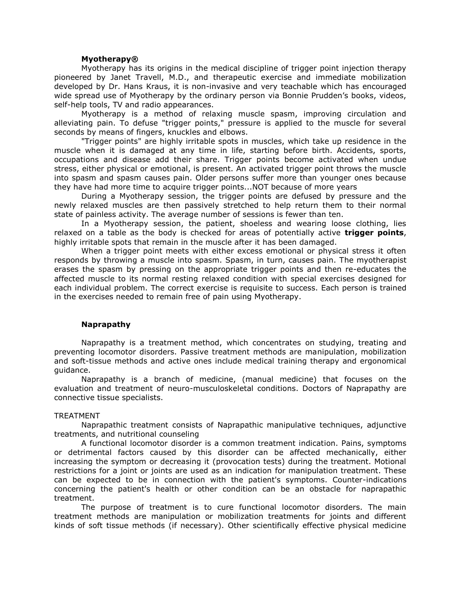#### **Myotherapy®**

Myotherapy has its origins in the medical discipline of trigger point injection therapy pioneered by Janet Travell, M.D., and therapeutic exercise and immediate mobilization developed by Dr. Hans Kraus, it is non-invasive and very teachable which has encouraged wide spread use of Myotherapy by the ordinary person via Bonnie Prudden's books, videos, self-help tools, TV and radio appearances.

Myotherapy is a method of relaxing muscle spasm, improving circulation and alleviating pain. To defuse "trigger points," pressure is applied to the muscle for several seconds by means of fingers, knuckles and elbows.

"Trigger points" are highly irritable spots in muscles, which take up residence in the muscle when it is damaged at any time in life, starting before birth. Accidents, sports, occupations and disease add their share. Trigger points become activated when undue stress, either physical or emotional, is present. An activated trigger point throws the muscle into spasm and spasm causes pain. Older persons suffer more than younger ones because they have had more time to acquire trigger points...NOT because of more years

During a Myotherapy session, the trigger points are defused by pressure and the newly relaxed muscles are then passively stretched to help return them to their normal state of painless activity. The average number of sessions is fewer than ten.

In a Myotherapy session, the patient, shoeless and wearing loose clothing, lies relaxed on a table as the body is checked for areas of potentially active **trigger points**, highly irritable spots that remain in the muscle after it has been damaged.

When a trigger point meets with either excess emotional or physical stress it often responds by throwing a muscle into spasm. Spasm, in turn, causes pain. The myotherapist erases the spasm by pressing on the appropriate trigger points and then re-educates the affected muscle to its normal resting relaxed condition with special exercises designed for each individual problem. The correct exercise is requisite to success. Each person is trained in the exercises needed to remain free of pain using Myotherapy.

### **Naprapathy**

Naprapathy is a treatment method, which concentrates on studying, treating and preventing locomotor disorders. Passive treatment methods are manipulation, mobilization and soft-tissue methods and active ones include medical training therapy and ergonomical guidance.

Naprapathy is a branch of medicine, (manual medicine) that focuses on the evaluation and treatment of neuro-musculoskeletal conditions. Doctors of Naprapathy are connective tissue specialists.

#### TREATMENT

Naprapathic treatment consists of Naprapathic manipulative techniques, adjunctive treatments, and nutritional counseling

A functional locomotor disorder is a common treatment indication. Pains, symptoms or detrimental factors caused by this disorder can be affected mechanically, either increasing the symptom or decreasing it (provocation tests) during the treatment. Motional restrictions for a joint or joints are used as an indication for manipulation treatment. These can be expected to be in connection with the patient's symptoms. Counter-indications concerning the patient's health or other condition can be an obstacle for naprapathic treatment.

The purpose of treatment is to cure functional locomotor disorders. The main treatment methods are manipulation or mobilization treatments for joints and different kinds of soft tissue methods (if necessary). Other scientifically effective physical medicine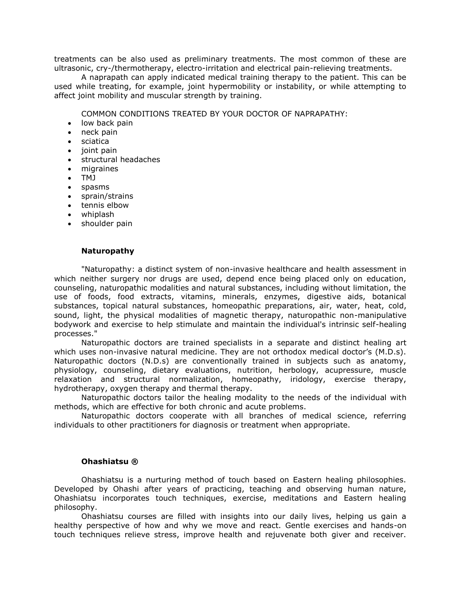treatments can be also used as preliminary treatments. The most common of these are ultrasonic, cry-/thermotherapy, electro-irritation and electrical pain-relieving treatments.

A naprapath can apply indicated medical training therapy to the patient. This can be used while treating, for example, joint hypermobility or instability, or while attempting to affect joint mobility and muscular strength by training.

COMMON CONDITIONS TREATED BY YOUR DOCTOR OF NAPRAPATHY:

- low back pain
- neck pain
- sciatica
- joint pain
- structural headaches
- migraines
- TMJ
- spasms
- sprain/strains
- tennis elbow
- whiplash
- shoulder pain

# **Naturopathy**

"Naturopathy: a distinct system of non-invasive healthcare and health assessment in which neither surgery nor drugs are used, depend ence being placed only on education, counseling, naturopathic modalities and natural substances, including without limitation, the use of foods, food extracts, vitamins, minerals, enzymes, digestive aids, botanical substances, topical natural substances, homeopathic preparations, air, water, heat, cold, sound, light, the physical modalities of magnetic therapy, naturopathic non-manipulative bodywork and exercise to help stimulate and maintain the individual's intrinsic self-healing processes."

Naturopathic doctors are trained specialists in a separate and distinct healing art which uses non-invasive natural medicine. They are not orthodox medical doctor's (M.D.s). Naturopathic doctors (N.D.s) are conventionally trained in subjects such as anatomy, physiology, counseling, dietary evaluations, nutrition, herbology, acupressure, muscle relaxation and structural normalization, homeopathy, iridology, exercise therapy, hydrotherapy, oxygen therapy and thermal therapy.

Naturopathic doctors tailor the healing modality to the needs of the individual with methods, which are effective for both chronic and acute problems.

Naturopathic doctors cooperate with all branches of medical science, referring individuals to other practitioners for diagnosis or treatment when appropriate.

### **Ohashiatsu ®**

Ohashiatsu is a nurturing method of touch based on Eastern healing philosophies. Developed by Ohashi after years of practicing, teaching and observing human nature, Ohashiatsu incorporates touch techniques, exercise, meditations and Eastern healing philosophy.

Ohashiatsu courses are filled with insights into our daily lives, helping us gain a healthy perspective of how and why we move and react. Gentle exercises and hands-on touch techniques relieve stress, improve health and rejuvenate both giver and receiver.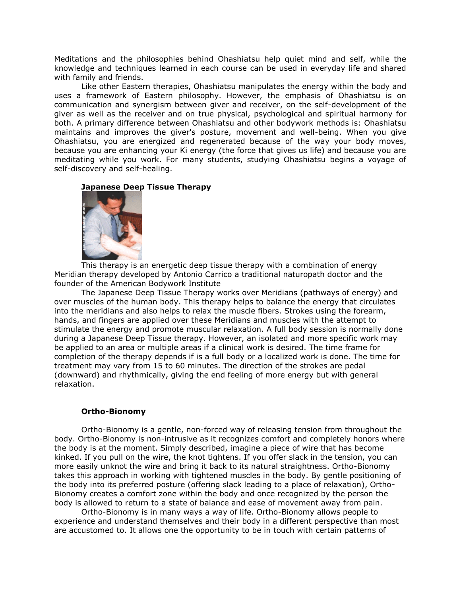Meditations and the philosophies behind Ohashiatsu help quiet mind and self, while the knowledge and techniques learned in each course can be used in everyday life and shared with family and friends.

Like other Eastern therapies, Ohashiatsu manipulates the energy within the body and uses a framework of Eastern philosophy. However, the emphasis of Ohashiatsu is on communication and synergism between giver and receiver, on the self-development of the giver as well as the receiver and on true physical, psychological and spiritual harmony for both. A primary difference between Ohashiatsu and other bodywork methods is: Ohashiatsu maintains and improves the giver's posture, movement and well-being. When you give Ohashiatsu, you are energized and regenerated because of the way your body moves, because you are enhancing your Ki energy (the force that gives us life) and because you are meditating while you work. For many students, studying Ohashiatsu begins a voyage of self-discovery and self-healing.

# **Japanese Deep Tissue Therapy**



This therapy is an energetic deep tissue therapy with a combination of energy Meridian therapy developed by Antonio Carrico a traditional naturopath doctor and the founder of the American Bodywork Institute

The Japanese Deep Tissue Therapy works over Meridians (pathways of energy) and over muscles of the human body. This therapy helps to balance the energy that circulates into the meridians and also helps to relax the muscle fibers. Strokes using the forearm, hands, and fingers are applied over these Meridians and muscles with the attempt to stimulate the energy and promote muscular relaxation. A full body session is normally done during a Japanese Deep Tissue therapy. However, an isolated and more specific work may be applied to an area or multiple areas if a clinical work is desired. The time frame for completion of the therapy depends if is a full body or a localized work is done. The time for treatment may vary from 15 to 60 minutes. The direction of the strokes are pedal (downward) and rhythmically, giving the end feeling of more energy but with general relaxation.

### **Ortho-Bionomy**

Ortho-Bionomy is a gentle, non-forced way of releasing tension from throughout the body. Ortho-Bionomy is non-intrusive as it recognizes comfort and completely honors where the body is at the moment. Simply described, imagine a piece of wire that has become kinked. If you pull on the wire, the knot tightens. If you offer slack in the tension, you can more easily unknot the wire and bring it back to its natural straightness. Ortho-Bionomy takes this approach in working with tightened muscles in the body. By gentle positioning of the body into its preferred posture (offering slack leading to a place of relaxation), Ortho-Bionomy creates a comfort zone within the body and once recognized by the person the body is allowed to return to a state of balance and ease of movement away from pain.

Ortho-Bionomy is in many ways a way of life. Ortho-Bionomy allows people to experience and understand themselves and their body in a different perspective than most are accustomed to. It allows one the opportunity to be in touch with certain patterns of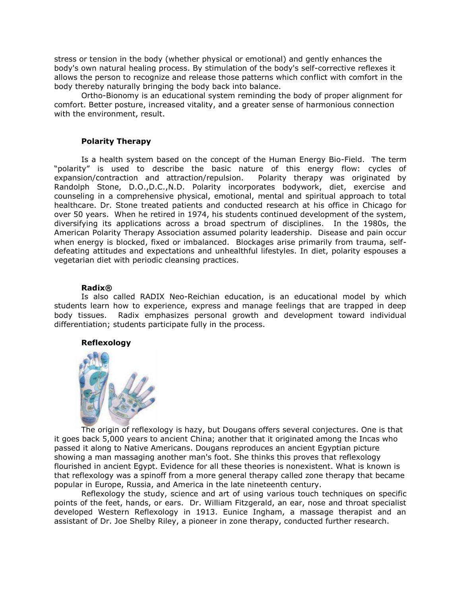stress or tension in the body (whether physical or emotional) and gently enhances the body's own natural healing process. By stimulation of the body's self-corrective reflexes it allows the person to recognize and release those patterns which conflict with comfort in the body thereby naturally bringing the body back into balance.

Ortho-Bionomy is an educational system reminding the body of proper alignment for comfort. Better posture, increased vitality, and a greater sense of harmonious connection with the environment, result.

# **Polarity Therapy**

Is a health system based on the concept of the Human Energy Bio-Field. The term "polarity" is used to describe the basic nature of this energy flow: cycles of expansion/contraction and attraction/repulsion. Polarity therapy was originated by Randolph Stone, D.O.,D.C.,N.D. Polarity incorporates bodywork, diet, exercise and counseling in a comprehensive physical, emotional, mental and spiritual approach to total healthcare. Dr. Stone treated patients and conducted research at his office in Chicago for over 50 years. When he retired in 1974, his students continued development of the system, diversifying its applications across a broad spectrum of disciplines. In the 1980s, the American Polarity Therapy Association assumed polarity leadership. Disease and pain occur when energy is blocked, fixed or imbalanced. Blockages arise primarily from trauma, selfdefeating attitudes and expectations and unhealthful lifestyles. In diet, polarity espouses a vegetarian diet with periodic cleansing practices.

### **Radix®**

Is also called RADIX Neo-Reichian education, is an educational model by which students learn how to experience, express and manage feelings that are trapped in deep body tissues. Radix emphasizes personal growth and development toward individual differentiation; students participate fully in the process.

## **Reflexology**



[The origin of reflexo](http://rds.yahoo.com/_ylt=A0WTefVYimhKJWgBEraJzbkF;_ylu=X3oDMTBqMGphbm9uBHBvcwMyMARzZWMDc3IEdnRpZAM-/SIG=1h3q4ihkd/EXP=1248451544/**http%3A/images.search.yahoo.com/images/view%3Fback=http%253A%252F%252Fimages.search.yahoo.com%252Fsearch%252Fimages%253Fp%253Dreflexology%2526ei%253DUTF-8%2526type%253D1223851%2526fr%253Dslv8-cj_msgr%2526fr2%253Dtab-web%26w=500%26h=499%26imgurl=www.alternativemedicinee.com%252Freflexology%252Freflexology.jpg%26rurl=http%253A%252F%252Fwww.alternativemedicinee.com%252F%26size=33k%26name=reflexology%2Bjpg%26p=reflexology%26oid=2acd40c69c35f566%26fr2=tab-web%26no=20%26tt=92531%26sigr=11414t9ua%26sigi=11oc8p3d9%26sigb=13ca5cjie)logy is hazy, but Dougans offers several conjectures. One is that it goes back 5,000 years to ancient China; another that it originated among the Incas who passed it along to Native Americans. Dougans reproduces an ancient Egyptian picture showing a man massaging another man's foot. She thinks this proves that reflexology flourished in ancient Egypt. Evidence for all these theories is nonexistent. What is known is that reflexology was a spinoff from a more general therapy called zone therapy that became popular in Europe, Russia, and America in the late nineteenth century.

Reflexology the study, science and art of using various touch techniques on specific points of the feet, hands, or ears. Dr. William Fitzgerald, an ear, nose and throat specialist developed Western Reflexology in 1913. Eunice Ingham, a massage therapist and an assistant of Dr. Joe Shelby Riley, a pioneer in zone therapy, conducted further research.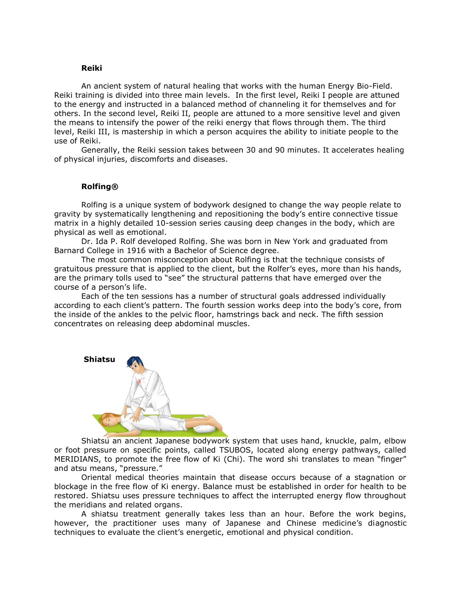## **Reiki**

An ancient system of natural healing that works with the human Energy Bio-Field. Reiki training is divided into three main levels. In the first level, Reiki I people are attuned to the energy and instructed in a balanced method of channeling it for themselves and for others. In the second level, Reiki II, people are attuned to a more sensitive level and given the means to intensify the power of the reiki energy that flows through them. The third level, Reiki III, is mastership in which a person acquires the ability to initiate people to the use of Reiki.

Generally, the Reiki session takes between 30 and 90 minutes. It accelerates healing of physical injuries, discomforts and diseases.

### **Rolfing®**

Rolfing is a unique system of bodywork designed to change the way people relate to gravity by systematically lengthening and repositioning the body's entire connective tissue matrix in a highly detailed 10-session series causing deep changes in the body, which are physical as well as emotional.

Dr. Ida P. Rolf developed Rolfing. She was born in New York and graduated from Barnard College in 1916 with a Bachelor of Science degree.

The most common misconception about Rolfing is that the technique consists of gratuitous pressure that is applied to the client, but the Rolfer's eyes, more than his hands, are the primary tolls used to "see" the structural patterns that have emerged over the course of a person's life.

Each of the ten sessions has a number of structural goals addressed individually according to each client's pattern. The fourth session works deep into the body's core, from the inside of the ankles to the pelvic floor, hamstrings back and neck. The fifth session concentrates on releasing deep abdominal muscles.



S[hiatsu an ancient Japanese bodywork](http://rds.yahoo.com/_ylt=A0WTefUji2hKkg8AQ8KjzbkF/SIG=12g4j383t/EXP=1248451747/**http%3A/www.shiatsu-energie.com/images/shiatsu_procubitus.jpg) system that uses hand, knuckle, palm, elbow or foot pressure on specific points, called TSUBOS, located along energy pathways, called MERIDIANS, to promote the free flow of Ki (Chi). The word shi translates to mean "finger" and atsu means, "pressure."

Oriental medical theories maintain that disease occurs because of a stagnation or blockage in the free flow of Ki energy. Balance must be established in order for health to be restored. Shiatsu uses pressure techniques to affect the interrupted energy flow throughout the meridians and related organs.

A shiatsu treatment generally takes less than an hour. Before the work begins, however, the practitioner uses many of Japanese and Chinese medicine's diagnostic techniques to evaluate the client's energetic, emotional and physical condition.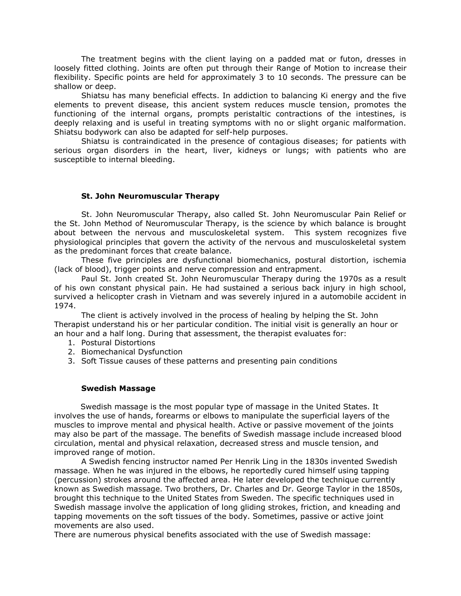The treatment begins with the client laying on a padded mat or futon, dresses in loosely fitted clothing. Joints are often put through their Range of Motion to increase their flexibility. Specific points are held for approximately 3 to 10 seconds. The pressure can be shallow or deep.

Shiatsu has many beneficial effects. In addiction to balancing Ki energy and the five elements to prevent disease, this ancient system reduces muscle tension, promotes the functioning of the internal organs, prompts peristaltic contractions of the intestines, is deeply relaxing and is useful in treating symptoms with no or slight organic malformation. Shiatsu bodywork can also be adapted for self-help purposes.

Shiatsu is contraindicated in the presence of contagious diseases; for patients with serious organ disorders in the heart, liver, kidneys or lungs; with patients who are susceptible to internal bleeding.

### **St. John Neuromuscular Therapy**

St. John Neuromuscular Therapy, also called St. John Neuromuscular Pain Relief or the St. John Method of Neuromuscular Therapy, is the science by which balance is brought about between the nervous and musculoskeletal system. This system recognizes five physiological principles that govern the activity of the nervous and musculoskeletal system as the predominant forces that create balance.

These five principles are dysfunctional biomechanics, postural distortion, ischemia (lack of blood), trigger points and nerve compression and entrapment.

Paul St. Jonh created St. John Neuromuscular Therapy during the 1970s as a result of his own constant physical pain. He had sustained a serious back injury in high school, survived a helicopter crash in Vietnam and was severely injured in a automobile accident in 1974.

The client is actively involved in the process of healing by helping the St. John Therapist understand his or her particular condition. The initial visit is generally an hour or an hour and a half long. During that assessment, the therapist evaluates for:

- 1. Postural Distortions
- 2. Biomechanical Dysfunction
- 3. Soft Tissue causes of these patterns and presenting pain conditions

### **Swedish Massage**

 Swedish massage is the most popular type of massage in the United States. It involves the use of hands, forearms or elbows to manipulate the superficial layers of the muscles to improve mental and physical health. Active or passive movement of the joints may also be part of the massage. The benefits of Swedish massage include increased blood circulation, mental and physical [relaxation,](/g2603/0006/2603000623/p1/article.jhtml) decreased [stress](/g2603/0006/2603000686/p1/article.jhtml) and muscle tension, and improved range of motion.

A Swedish fencing instructor named Per Henrik Ling in the 1830s invented Swedish massage. When he was injured in the elbows, he reportedly cured himself using tapping (percussion) strokes around the affected area. He later developed the technique currently known as Swedish massage. Two brothers, Dr. Charles and Dr. George Taylor in the 1850s, brought this technique to the United States from Sweden. The specific techniques used in Swedish massage involve the application of long gliding strokes, friction, and kneading and tapping movements on the soft tissues of the body. Sometimes, passive or active joint movements are also used.

There are numerous physical benefits associated with the use of Swedish massage: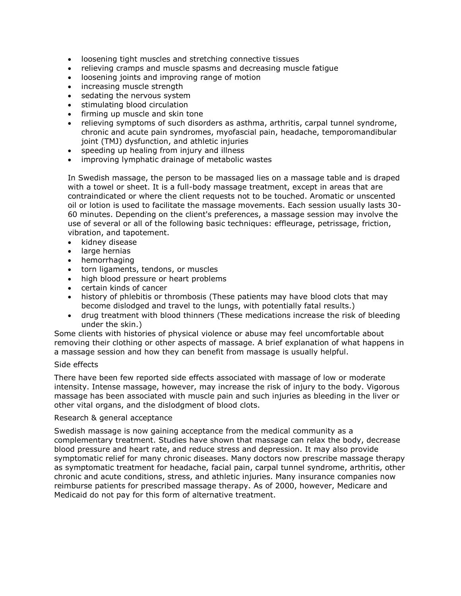- loosening tight muscles and stretching connective tissues
- relieving cramps and muscle spasms and decreasing muscle fatigue
- loosening joints and improving range of motion
- increasing muscle strength
- sedating the nervous system
- stimulating blood circulation
- firming up muscle and skin tone
- relieving symptoms of such disorders as [asthma,](/g2603/0001/2603000175/p1/article.jhtml) arthritis, [carpal tunnel syndrome,](/g2603/0000/2603000023/p1/article.jhtml) chronic and acute [pain](/g2603/0005/2603000570/p1/article.jhtml) syndromes, myofascial pain, [headache,](/g2603/0004/2603000408/p1/article.jhtml) temporomandibular joint (TMJ) dysfunction, and athletic injuries
- speeding up healing from injury and illness
- improving [lymphatic drainage](/g2603/0004/2603000498/p1/article.jhtml) of metabolic wastes

In Swedish massage, the person to be massaged lies on a massage table and is draped with a towel or sheet. It is a full-body massage treatment, except in areas that are contraindicated or where the client requests not to be touched. Aromatic or unscented oil or lotion is used to facilitate the massage movements. Each session usually lasts 30- 60 minutes. Depending on the client's preferences, a massage session may involve the use of several or all of the following basic techniques: effleurage, petrissage, friction, vibration, and tapotement.

- kidney disease
- large hernias
- hemorrhaging
- torn ligaments, tendons, or muscles
- high blood pressure or heart problems
- certain kinds of cancer
- history of [phlebitis](/g2603/0005/2603000586/p1/article.jhtml) or thrombosis (These patients may have [blood clots](/g2603/0002/2603000213/p1/article.jhtml) that may become dislodged and travel to the lungs, with potentially fatal results.)
- drug treatment with blood thinners (These medications increase the risk of bleeding under the skin.)

Some clients with histories of physical violence or abuse may feel uncomfortable about removing their clothing or other aspects of massage. A brief explanation of what happens in a massage session and how they can benefit from massage is usually helpful.

# Side effects

There have been few reported side effects associated with massage of low or moderate intensity. Intense massage, however, may increase the risk of injury to the body. Vigorous massage has been associated with muscle pain and such injuries as bleeding in the liver or other vital organs, and the dislodgment of blood clots.

# Research & general acceptance

Swedish massage is now gaining acceptance from the medical community as a complementary treatment. Studies have shown that massage can relax the body, decrease blood pressure and heart rate, and reduce stress and depression. It may also provide symptomatic relief for many chronic diseases. Many doctors now prescribe massage therapy as symptomatic treatment for headache, facial pain, carpal tunnel syndrome, arthritis, other chronic and acute conditions, stress, and athletic injuries. Many insurance companies now reimburse patients for prescribed massage therapy. As of 2000, however, Medicare and Medicaid do not pay for this form of alternative treatment.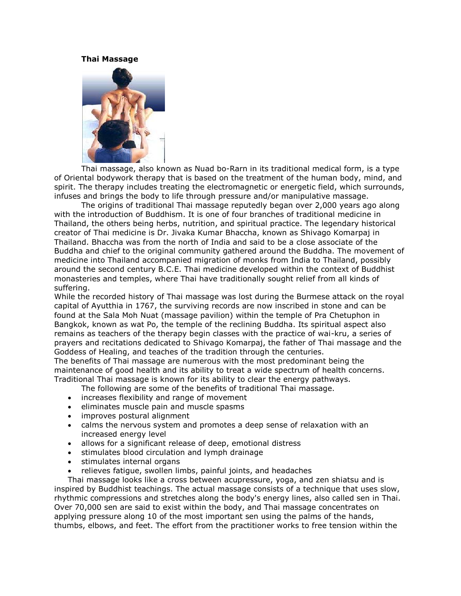#### **Thai Massage**



Thai massage, also known as Nuad bo-Rarn in its traditional medical form, is a type of Oriental bodywork therapy that is based on the treatment of the human body, mind, and spirit. The therapy includes treating the electromagnetic or energetic field, which surrounds, infuses and brings the body to life through pressure and/or manipulative massage.

The origins of traditional Thai massage reputedly began over 2,000 years ago along with the introduction of Buddhism. It is one of four branches of traditional medicine in Thailand, the others being herbs, [nutrition,](/g2603/0005/2603000556/p1/article.jhtml) and spiritual practice. The legendary historical creator of Thai medicine is Dr. Jivaka Kumar Bhaccha, known as Shivago Komarpaj in Thailand. Bhaccha was from the north of India and said to be a close associate of the Buddha and chief to the original community gathered around the Buddha. The movement of medicine into Thailand accompanied migration of monks from India to Thailand, possibly around the second century B.C.E. Thai medicine developed within the context of Buddhist monasteries and temples, where Thai have traditionally sought relief from all kinds of suffering.

While the recorded history of Thai massage was lost during the Burmese attack on the royal capital of Ayutthia in 1767, the surviving records are now inscribed in stone and can be found at the Sala Moh Nuat (massage pavilion) within the temple of Pra Chetuphon in Bangkok, known as wat Po, the temple of the reclining Buddha. Its spiritual aspect also remains as teachers of the therapy begin classes with the practice of wai-kru, a series of prayers and recitations dedicated to Shivago Komarpaj, the father of Thai massage and the Goddess of Healing, and teaches of the tradition through the centuries.

The benefits of Thai massage are numerous with the most predominant being the maintenance of good health and its ability to treat a wide spectrum of health concerns. Traditional Thai massage is known for its ability to clear the energy pathways.

The following are some of the benefits of traditional Thai massage.

- increases flexibility and range of movement
- eliminates muscle [pain](/g2603/0005/2603000570/p1/article.jhtml) and muscle spasms
- improves postural alignment
- calms the nervous system and promotes a deep sense of [relaxation](/g2603/0006/2603000623/p1/article.jhtml) with an increased energy level
- allows for a significant release of deep, emotional distress
- stimulates blood circulation and lymph drainage
- stimulates internal organs
- relieves [fatigue,](/g2603/0003/2603000356/p1/article.jhtml) swollen limbs, painful joints, and headaches

Thai massage looks like a cross between [acupressure,](/g2603/0000/2603000001/p1/article.jhtml) [yoga,](/g2603/0001/2603000140/p1/article.jhtml) and zen [shiatsu](/g2603/0006/2603000658/p1/article.jhtml) and is inspired by Buddhist teachings. The actual massage consists of a technique that uses slow, rhythmic compressions and stretches along the body's energy lines, also called sen in Thai. Over 70,000 sen are said to exist within the body, and Thai massage concentrates on applying pressure along 10 of the most important sen using the palms of the hands, thumbs, elbows, and feet. The effort from the practitioner works to free tension within the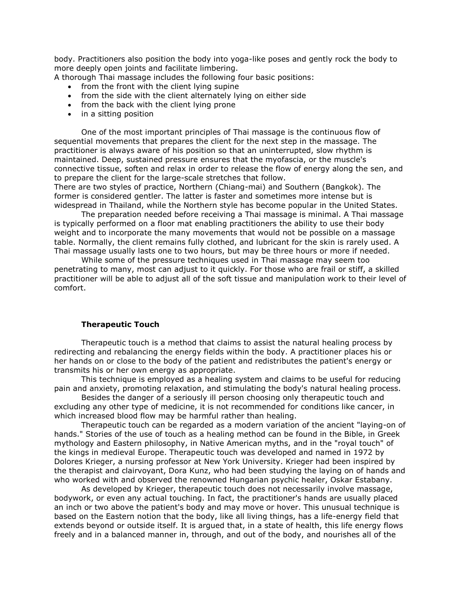body. Practitioners also position the body into yoga-like poses and gently rock the body to more deeply open joints and facilitate limbering.

A thorough Thai massage includes the following four basic positions:

- from the front with the client lying supine
- from the side with the client alternately lying on either side
- from the back with the client lying prone
- in a sitting position

One of the most important principles of Thai massage is the continuous flow of sequential movements that prepares the client for the next step in the massage. The practitioner is always aware of his position so that an uninterrupted, slow rhythm is maintained. Deep, sustained pressure ensures that the myofascia, or the muscle's connective tissue, soften and relax in order to release the flow of energy along the sen, and to prepare the client for the large-scale stretches that follow.

There are two styles of practice, Northern (Chiang-mai) and Southern (Bangkok). The former is considered gentler. The latter is faster and sometimes more intense but is widespread in Thailand, while the Northern style has become popular in the United States.

The preparation needed before receiving a Thai massage is minimal. A Thai massage is typically performed on a floor mat enabling practitioners the ability to use their body weight and to incorporate the many movements that would not be possible on a massage table. Normally, the client remains fully clothed, and lubricant for the skin is rarely used. A Thai massage usually lasts one to two hours, but may be three hours or more if needed.

While some of the pressure techniques used in Thai massage may seem too penetrating to many, most can adjust to it quickly. For those who are frail or stiff, a skilled practitioner will be able to adjust all of the soft tissue and manipulation work to their level of comfort.

#### **Therapeutic Touch**

Therapeutic touch is a method that claims to assist the natural healing process by redirecting and rebalancing the energy fields within the body. A practitioner places his or her hands on or close to the body of the patient and redistributes the patient's energy or transmits his or her own energy as appropriate.

This technique is employed as a healing system and claims to be useful for reducing pain and anxiety, promoting relaxation, and stimulating the body's natural healing process.

Besides the danger of a seriously ill person choosing only therapeutic touch and excluding any other type of medicine, it is not recommended for conditions like cancer, in which increased blood flow may be harmful rather than healing.

Therapeutic touch can be regarded as a modern variation of the ancient "laying-on of hands." Stories of the use of touch as a healing method can be found in the Bible, in Greek mythology and Eastern philosophy, in Native American myths, and in the "royal touch" of the kings in medieval Europe. Therapeutic touch was developed and named in 1972 by Dolores Krieger, a nursing professor at New York University. Krieger had been inspired by the therapist and clairvoyant, Dora Kunz, who had been studying the laying on of hands and who worked with and observed the renowned Hungarian psychic healer, Oskar Estabany.

As developed by Krieger, therapeutic touch does not necessarily involve massage, bodywork, or even any actual touching. In fact, the practitioner's hands are usually placed an inch or two above the patient's body and may move or hover. This unusual technique is based on the Eastern notion that the body, like all living things, has a life-energy field that extends beyond or outside itself. It is argued that, in a state of health, this life energy flows freely and in a balanced manner in, through, and out of the body, and nourishes all of the